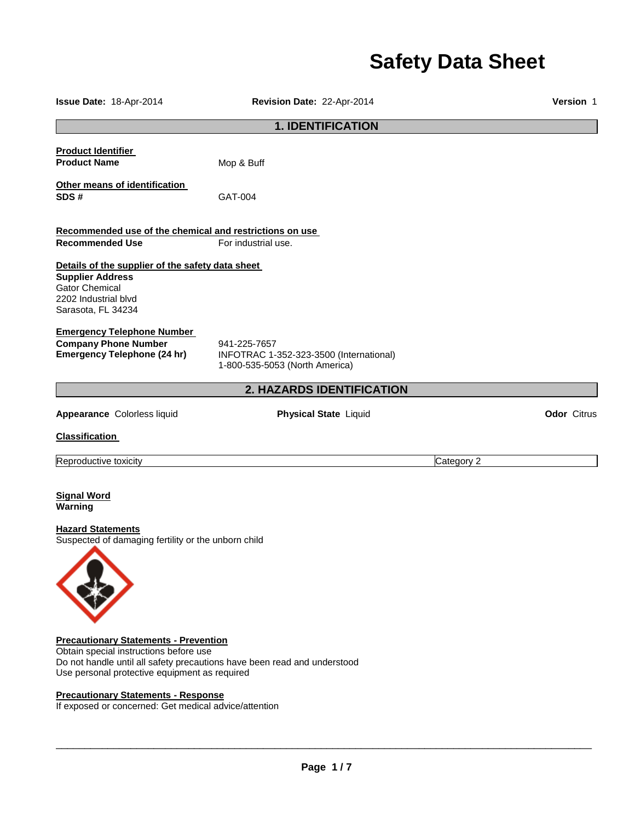# **Safety Data Sheet**

| Issue Date: 18-Apr-2014                                                                                                                            | Revision Date: 22-Apr-2014                                                                | Version 1          |
|----------------------------------------------------------------------------------------------------------------------------------------------------|-------------------------------------------------------------------------------------------|--------------------|
|                                                                                                                                                    | <b>1. IDENTIFICATION</b>                                                                  |                    |
| <b>Product Identifier</b><br><b>Product Name</b>                                                                                                   | Mop & Buff                                                                                |                    |
| Other means of identification<br>SDS#                                                                                                              | GAT-004                                                                                   |                    |
| Recommended use of the chemical and restrictions on use                                                                                            |                                                                                           |                    |
| <b>Recommended Use</b>                                                                                                                             | For industrial use.                                                                       |                    |
| Details of the supplier of the safety data sheet<br><b>Supplier Address</b><br><b>Gator Chemical</b><br>2202 Industrial blvd<br>Sarasota, FL 34234 |                                                                                           |                    |
| <b>Emergency Telephone Number</b><br><b>Company Phone Number</b><br><b>Emergency Telephone (24 hr)</b>                                             | 941-225-7657<br>INFOTRAC 1-352-323-3500 (International)<br>1-800-535-5053 (North America) |                    |
|                                                                                                                                                    | 2. HAZARDS IDENTIFICATION                                                                 |                    |
| Appearance Colorless liquid                                                                                                                        | <b>Physical State Liquid</b>                                                              | <b>Odor</b> Citrus |
| <b>Classification</b>                                                                                                                              |                                                                                           |                    |
| Reproductive toxicity                                                                                                                              |                                                                                           | Category 2         |
| <b>Signal Word</b><br>Warning<br><b>Hazard Statements</b><br>Suspected of damaging fertility or the unborn child                                   |                                                                                           |                    |
| $\star$<br><b>Precautionary Statements - Prevention</b><br>Obtain special instructions before use                                                  | Do not handle until all safety precautions have been read and understood                  |                    |

Use personal protective equipment as required

#### **Precautionary Statements - Response**

If exposed or concerned: Get medical advice/attention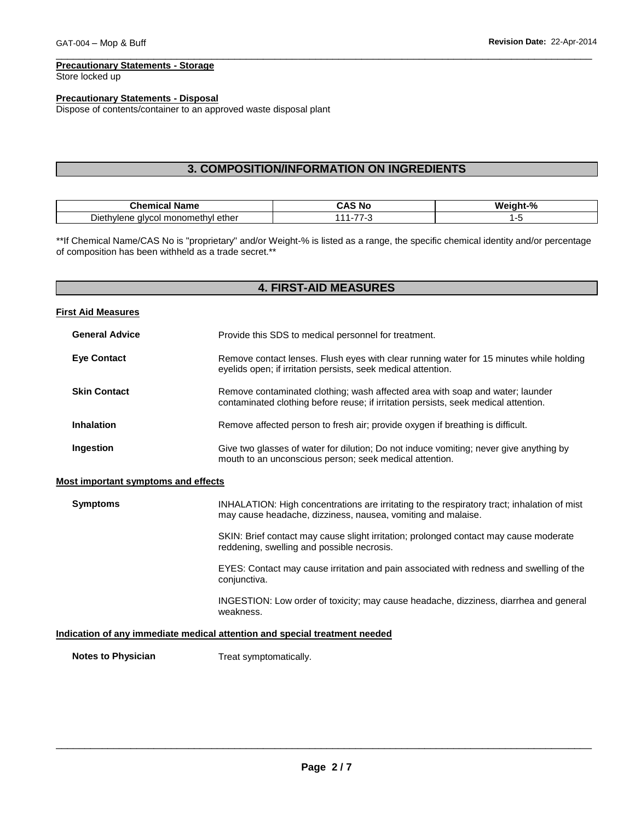#### **Precautionary Statements - Storage**

Store locked up

#### **Precautionary Statements - Disposal**

Dispose of contents/container to an approved waste disposal plant

## **3. COMPOSITION/INFORMATION ON INGREDIENTS**

\_\_\_\_\_\_\_\_\_\_\_\_\_\_\_\_\_\_\_\_\_\_\_\_\_\_\_\_\_\_\_\_\_\_\_\_\_\_\_\_\_\_\_\_\_\_\_\_\_\_\_\_\_\_\_\_\_\_\_\_\_\_\_\_\_\_\_\_\_\_\_\_\_\_\_\_\_\_\_\_\_\_\_\_\_\_\_\_\_\_\_\_\_

| <b>Thomu</b><br>ame                                                | - - - - | $\sim$<br>.<br>w |
|--------------------------------------------------------------------|---------|------------------|
| -<br>. ether<br>monom<br>netr<br>וור<br>$\cdot$ $\mathsf{M}$<br>ıе |         |                  |

\*\*If Chemical Name/CAS No is "proprietary" and/or Weight-% is listed as a range, the specific chemical identity and/or percentage of composition has been withheld as a trade secret.\*\*

| <b>4. FIRST-AID MEASURES</b>        |                                                                                                                                                                      |  |
|-------------------------------------|----------------------------------------------------------------------------------------------------------------------------------------------------------------------|--|
| <b>First Aid Measures</b>           |                                                                                                                                                                      |  |
| <b>General Advice</b>               | Provide this SDS to medical personnel for treatment.                                                                                                                 |  |
| <b>Eye Contact</b>                  | Remove contact lenses. Flush eyes with clear running water for 15 minutes while holding<br>eyelids open; if irritation persists, seek medical attention.             |  |
| <b>Skin Contact</b>                 | Remove contaminated clothing; wash affected area with soap and water; launder<br>contaminated clothing before reuse; if irritation persists, seek medical attention. |  |
| <b>Inhalation</b>                   | Remove affected person to fresh air; provide oxygen if breathing is difficult.                                                                                       |  |
| Ingestion                           | Give two glasses of water for dilution; Do not induce vomiting; never give anything by<br>mouth to an unconscious person; seek medical attention.                    |  |
| Most important symptoms and effects |                                                                                                                                                                      |  |
| <b>Symptoms</b>                     | INHALATION: High concentrations are irritating to the respiratory tract; inhalation of mist<br>may cause headache, dizziness, nausea, vomiting and malaise.          |  |
|                                     | SKIN: Brief contact may cause slight irritation; prolonged contact may cause moderate<br>reddening, swelling and possible necrosis.                                  |  |
|                                     | EYES: Contact may cause irritation and pain associated with redness and swelling of the<br>conjunctiva.                                                              |  |
|                                     | INGESTION: Low order of toxicity; may cause headache, dizziness, diarrhea and general<br>weakness.                                                                   |  |
|                                     | Indication of any immediate medical attention and special treatment needed                                                                                           |  |
| <b>Notes to Physician</b>           | Treat symptomatically.                                                                                                                                               |  |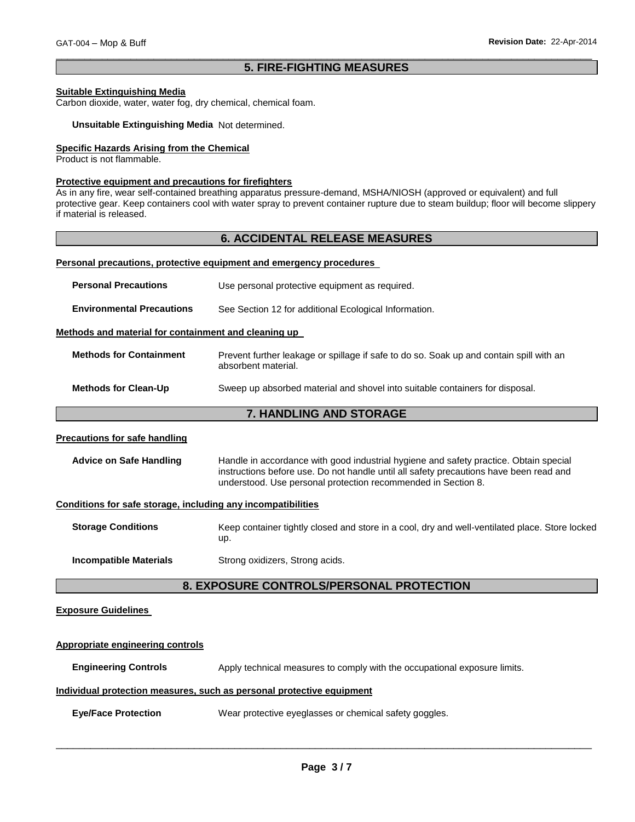#### \_\_\_\_\_\_\_\_\_\_\_\_\_\_\_\_\_\_\_\_\_\_\_\_\_\_\_\_\_\_\_\_\_\_\_\_\_\_\_\_\_\_\_\_\_\_\_\_\_\_\_\_\_\_\_\_\_\_\_\_\_\_\_\_\_\_\_\_\_\_\_\_\_\_\_\_\_\_\_\_\_\_\_\_\_\_\_\_\_\_\_\_\_ **5. FIRE-FIGHTING MEASURES**

#### **Suitable Extinguishing Media**

Carbon dioxide, water, water fog, dry chemical, chemical foam.

#### **Unsuitable Extinguishing Media** Not determined.

#### **Specific Hazards Arising from the Chemical**

Product is not flammable.

#### **Protective equipment and precautions for firefighters**

As in any fire, wear self-contained breathing apparatus pressure-demand, MSHA/NIOSH (approved or equivalent) and full protective gear. Keep containers cool with water spray to prevent container rupture due to steam buildup; floor will become slippery if material is released.

#### **6. ACCIDENTAL RELEASE MEASURES**

#### **Personal precautions, protective equipment and emergency procedures**

| <b>Personal Precautions</b>                          | Use personal protective equipment as required.                                                                 |
|------------------------------------------------------|----------------------------------------------------------------------------------------------------------------|
| <b>Environmental Precautions</b>                     | See Section 12 for additional Ecological Information.                                                          |
| Methods and material for containment and cleaning up |                                                                                                                |
| <b>Methods for Containment</b>                       | Prevent further leakage or spillage if safe to do so. Soak up and contain spill with an<br>absorbent material. |
| <b>Methods for Clean-Up</b>                          | Sweep up absorbed material and shovel into suitable containers for disposal.                                   |

#### **7. HANDLING AND STORAGE**

#### **Precautions for safe handling**

| Advice on Safe Handling | Handle in accordance with good industrial hygiene and safety practice. Obtain special  |
|-------------------------|----------------------------------------------------------------------------------------|
|                         | instructions before use. Do not handle until all safety precautions have been read and |
|                         | understood. Use personal protection recommended in Section 8.                          |

#### **Conditions for safe storage, including any incompatibilities**

| <b>Storage Conditions</b>     | Keep container tightly closed and store in a cool, dry and well-ventilated place. Store locked<br>up. |
|-------------------------------|-------------------------------------------------------------------------------------------------------|
| <b>Incompatible Materials</b> | Strong oxidizers, Strong acids.                                                                       |

#### **8. EXPOSURE CONTROLS/PERSONAL PROTECTION**

#### **Exposure Guidelines**

# **Appropriate engineering controls Engineering Controls** Apply technical measures to comply with the occupational exposure limits. **Individual protection measures, such as personal protective equipment**

**Eye/Face Protection** Wear protective eyeglasses or chemical safety goggles.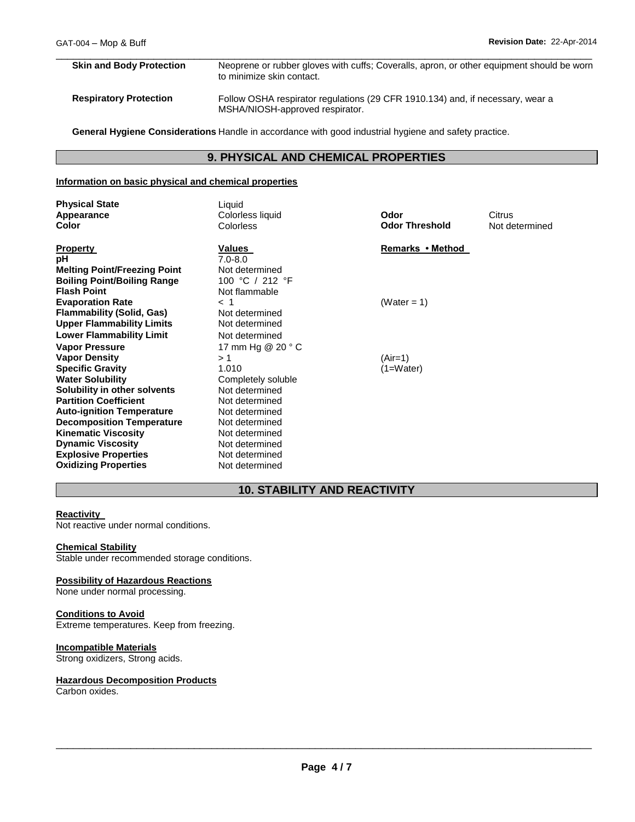# **Skin and Body Protection Neoprene or rubber gloves with cuffs; Coveralls, apron, or other equipment should be worn** to minimize skin contact. **Respiratory Protection** Follow OSHA respirator regulations (29 CFR 1910.134) and, if necessary, wear a MSHA/NIOSH-approved respirator.

\_\_\_\_\_\_\_\_\_\_\_\_\_\_\_\_\_\_\_\_\_\_\_\_\_\_\_\_\_\_\_\_\_\_\_\_\_\_\_\_\_\_\_\_\_\_\_\_\_\_\_\_\_\_\_\_\_\_\_\_\_\_\_\_\_\_\_\_\_\_\_\_\_\_\_\_\_\_\_\_\_\_\_\_\_\_\_\_\_\_\_\_\_

**General Hygiene Considerations** Handle in accordance with good industrial hygiene and safety practice.

# **9. PHYSICAL AND CHEMICAL PROPERTIES**

#### **Information on basic physical and chemical properties**

| <b>Physical State</b><br>Appearance<br><b>Color</b> | Liquid<br>Colorless liquid<br>Colorless | Odor<br><b>Odor Threshold</b> | Citrus<br>Not determined |
|-----------------------------------------------------|-----------------------------------------|-------------------------------|--------------------------|
| <b>Property</b>                                     | <b>Values</b>                           | Remarks • Method              |                          |
| рH                                                  | $7.0 - 8.0$                             |                               |                          |
| <b>Melting Point/Freezing Point</b>                 | Not determined                          |                               |                          |
| <b>Boiling Point/Boiling Range</b>                  | 100 °C / 212 °F                         |                               |                          |
| <b>Flash Point</b>                                  | Not flammable                           |                               |                          |
| <b>Evaporation Rate</b>                             | $<$ 1                                   | (Water = 1)                   |                          |
| <b>Flammability (Solid, Gas)</b>                    | Not determined<br>Not determined        |                               |                          |
| <b>Upper Flammability Limits</b>                    |                                         |                               |                          |
| <b>Lower Flammability Limit</b>                     | Not determined                          |                               |                          |
| <b>Vapor Pressure</b>                               | 17 mm Hg @ 20 ° C                       |                               |                          |
| <b>Vapor Density</b>                                | >1                                      | (Air=1)                       |                          |
| <b>Specific Gravity</b>                             | 1.010                                   | (1=Water)                     |                          |
| <b>Water Solubility</b>                             | Completely soluble                      |                               |                          |
| Solubility in other solvents                        | Not determined                          |                               |                          |
| <b>Partition Coefficient</b>                        | Not determined                          |                               |                          |
| <b>Auto-ignition Temperature</b>                    | Not determined                          |                               |                          |
| <b>Decomposition Temperature</b>                    | Not determined                          |                               |                          |
| <b>Kinematic Viscosity</b>                          | Not determined                          |                               |                          |
| <b>Dynamic Viscosity</b>                            | Not determined                          |                               |                          |
| <b>Explosive Properties</b>                         | Not determined                          |                               |                          |
| <b>Oxidizing Properties</b>                         | Not determined                          |                               |                          |

# **10. STABILITY AND REACTIVITY**

#### **Reactivity**

Not reactive under normal conditions.

#### **Chemical Stability**

Stable under recommended storage conditions.

#### **Possibility of Hazardous Reactions**

None under normal processing.

#### **Conditions to Avoid**

Extreme temperatures. Keep from freezing.

#### **Incompatible Materials**

Strong oxidizers, Strong acids.

#### **Hazardous Decomposition Products**

Carbon oxides.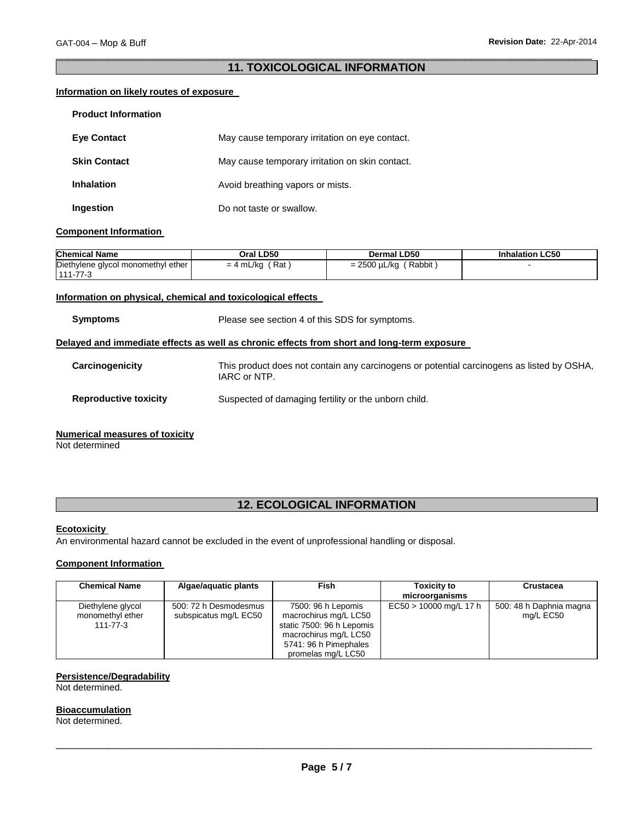#### \_\_\_\_\_\_\_\_\_\_\_\_\_\_\_\_\_\_\_\_\_\_\_\_\_\_\_\_\_\_\_\_\_\_\_\_\_\_\_\_\_\_\_\_\_\_\_\_\_\_\_\_\_\_\_\_\_\_\_\_\_\_\_\_\_\_\_\_\_\_\_\_\_\_\_\_\_\_\_\_\_\_\_\_\_\_\_\_\_\_\_\_\_ **11. TOXICOLOGICAL INFORMATION**

#### **Information on likely routes of exposure**

| <b>Product Information</b> |                                                 |
|----------------------------|-------------------------------------------------|
| <b>Eve Contact</b>         | May cause temporary irritation on eye contact.  |
| <b>Skin Contact</b>        | May cause temporary irritation on skin contact. |
| <b>Inhalation</b>          | Avoid breathing vapors or mists.                |
| Ingestion                  | Do not taste or swallow.                        |

#### **Component Information**

| <b>Chemical Name</b>               | Oral LD50        | <b>Dermal LD50</b>          | <b>Inhalation LC50</b> |
|------------------------------------|------------------|-----------------------------|------------------------|
| Diethylene glycol monomethyl ether | $= 4$ mL/kg (Rat | $= 2500 \mu L/kg$<br>Rabbit |                        |
| 111-77-3                           |                  |                             |                        |

#### **Information on physical, chemical and toxicological effects**

**Symptoms** Please see section 4 of this SDS for symptoms.

#### **Delayed and immediate effects as well as chronic effects from short and long-term exposure**

| Carcinogenicity | This product does not contain any carcinogens or potential carcinogens as listed by OSHA,<br>IARC or NTP. |
|-----------------|-----------------------------------------------------------------------------------------------------------|
|                 |                                                                                                           |

**Reproductive toxicity** Suspected of damaging fertility or the unborn child.

#### **Numerical measures of toxicity**

Not determined

# **12. ECOLOGICAL INFORMATION**

#### **Ecotoxicity**

An environmental hazard cannot be excluded in the event of unprofessional handling or disposal.

#### **Component Information**

| <b>Chemical Name</b>                              | Algae/aquatic plants                           | Fish                                                                                                                                             | <b>Toxicity to</b><br>microorganisms | <b>Crustacea</b>                     |
|---------------------------------------------------|------------------------------------------------|--------------------------------------------------------------------------------------------------------------------------------------------------|--------------------------------------|--------------------------------------|
| Diethylene glycol<br>monomethyl ether<br>111-77-3 | 500: 72 h Desmodesmus<br>subspicatus mg/L EC50 | 7500: 96 h Lepomis<br>macrochirus mg/L LC50<br>static 7500: 96 h Lepomis<br>macrochirus mg/L LC50<br>5741: 96 h Pimephales<br>promelas mg/L LC50 | $EC50 > 10000$ mg/L 17 h             | 500: 48 h Daphnia magna<br>mg/L EC50 |

#### **Persistence/Degradability**

Not determined.

#### **Bioaccumulation**

Not determined.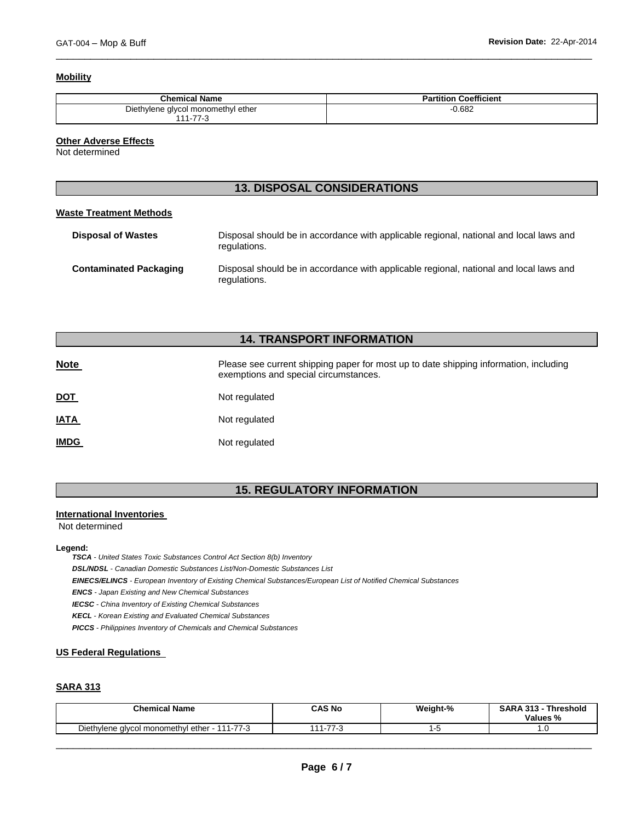#### **Mobility**

| <b>Chemical Name</b>               | <b>Partition Coefficient</b> |
|------------------------------------|------------------------------|
| Diethylene glycol monomethyl ether | 0.682                        |
| 111-77-3                           |                              |

\_\_\_\_\_\_\_\_\_\_\_\_\_\_\_\_\_\_\_\_\_\_\_\_\_\_\_\_\_\_\_\_\_\_\_\_\_\_\_\_\_\_\_\_\_\_\_\_\_\_\_\_\_\_\_\_\_\_\_\_\_\_\_\_\_\_\_\_\_\_\_\_\_\_\_\_\_\_\_\_\_\_\_\_\_\_\_\_\_\_\_\_\_

#### **Other Adverse Effects**

Not determined

## **13. DISPOSAL CONSIDERATIONS**

#### **Waste Treatment Methods**

| <b>Disposal of Wastes</b>     | Disposal should be in accordance with applicable regional, national and local laws and<br>regulations. |
|-------------------------------|--------------------------------------------------------------------------------------------------------|
| <b>Contaminated Packaging</b> | Disposal should be in accordance with applicable regional, national and local laws and<br>regulations. |

# **14. TRANSPORT INFORMATION**

| <u>Note</u> | Please see current shipping paper for most up to date shipping information, including<br>exemptions and special circumstances. |
|-------------|--------------------------------------------------------------------------------------------------------------------------------|
| <u>DOT</u>  | Not regulated                                                                                                                  |
| <u>IATA</u> | Not regulated                                                                                                                  |
| <b>IMDG</b> | Not regulated                                                                                                                  |

# **15. REGULATORY INFORMATION**

#### **International Inventories**

Not determined

#### **Legend:**

*TSCA - United States Toxic Substances Control Act Section 8(b) Inventory DSL/NDSL - Canadian Domestic Substances List/Non-Domestic Substances List EINECS/ELINCS - European Inventory of Existing Chemical Substances/European List of Notified Chemical Substances ENCS - Japan Existing and New Chemical Substances IECSC - China Inventory of Existing Chemical Substances KECL - Korean Existing and Evaluated Chemical Substances PICCS - Philippines Inventory of Chemicals and Chemical Substances* 

#### **US Federal Regulations**

#### **SARA 313**

| <b>Chemical Name</b>                          | CAS No            | Weight-% | <b>SARA 313 -</b><br><b>Threshold</b><br>Values % |
|-----------------------------------------------|-------------------|----------|---------------------------------------------------|
| Diethylene glycol monomethyl ether - 111-77-3 | 77.0<br>.44<br>75 | ٠.       | ں. ا                                              |